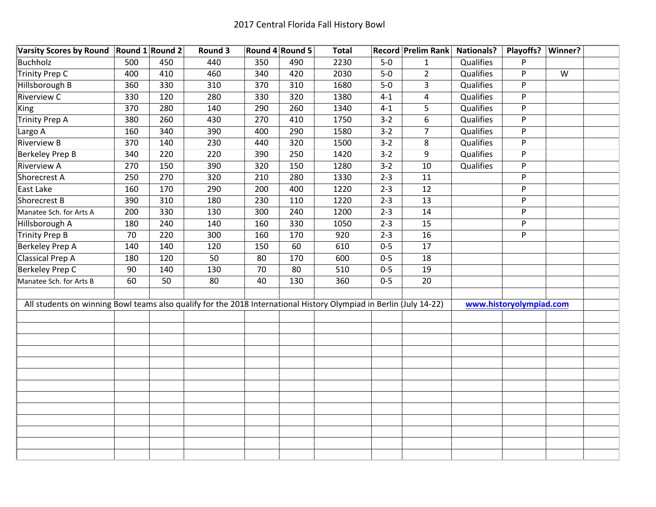| Varsity Scores by Round Round 1 Round 2                                                                            |     |     | Round 3 |     | Round 4 Round 5 | <b>Total</b> |         | <b>Record Prelim Rank</b> | <b>Nationals?</b> | Playoffs?   Winner?     |                |  |
|--------------------------------------------------------------------------------------------------------------------|-----|-----|---------|-----|-----------------|--------------|---------|---------------------------|-------------------|-------------------------|----------------|--|
| <b>Buchholz</b>                                                                                                    | 500 | 450 | 440     | 350 | 490             | 2230         | $5-0$   | $\mathbf{1}$              | Qualifies         | P                       |                |  |
| <b>Trinity Prep C</b>                                                                                              | 400 | 410 | 460     | 340 | 420             | 2030         | $5-0$   | $\overline{2}$            | Qualifies         | P                       | $\overline{W}$ |  |
| Hillsborough B                                                                                                     | 360 | 330 | 310     | 370 | 310             | 1680         | $5-0$   | 3                         | Qualifies         | P                       |                |  |
| <b>Riverview C</b>                                                                                                 | 330 | 120 | 280     | 330 | 320             | 1380         | $4 - 1$ | 4                         | Qualifies         | P                       |                |  |
| King                                                                                                               | 370 | 280 | 140     | 290 | 260             | 1340         | $4 - 1$ | 5                         | Qualifies         | P                       |                |  |
| <b>Trinity Prep A</b>                                                                                              | 380 | 260 | 430     | 270 | 410             | 1750         | $3 - 2$ | 6                         | Qualifies         | P                       |                |  |
| Largo A                                                                                                            | 160 | 340 | 390     | 400 | 290             | 1580         | $3 - 2$ | $\overline{7}$            | Qualifies         | P                       |                |  |
| <b>Riverview B</b>                                                                                                 | 370 | 140 | 230     | 440 | 320             | 1500         | $3 - 2$ | 8                         | Qualifies         | P                       |                |  |
| Berkeley Prep B                                                                                                    | 340 | 220 | 220     | 390 | 250             | 1420         | $3 - 2$ | 9                         | Qualifies         | P                       |                |  |
| <b>Riverview A</b>                                                                                                 | 270 | 150 | 390     | 320 | 150             | 1280         | $3 - 2$ | 10                        | Qualifies         | P                       |                |  |
| Shorecrest A                                                                                                       | 250 | 270 | 320     | 210 | 280             | 1330         | $2 - 3$ | 11                        |                   | P                       |                |  |
| East Lake                                                                                                          | 160 | 170 | 290     | 200 | 400             | 1220         | $2 - 3$ | 12                        |                   | P                       |                |  |
| Shorecrest B                                                                                                       | 390 | 310 | 180     | 230 | 110             | 1220         | $2 - 3$ | $\overline{13}$           |                   | P                       |                |  |
| Manatee Sch. for Arts A                                                                                            | 200 | 330 | 130     | 300 | 240             | 1200         | $2 - 3$ | 14                        |                   | P                       |                |  |
| Hillsborough A                                                                                                     | 180 | 240 | 140     | 160 | 330             | 1050         | $2 - 3$ | 15                        |                   | P                       |                |  |
| Trinity Prep B                                                                                                     | 70  | 220 | 300     | 160 | 170             | 920          | $2 - 3$ | 16                        |                   | P                       |                |  |
| <b>Berkeley Prep A</b>                                                                                             | 140 | 140 | 120     | 150 | 60              | 610          | $0 - 5$ | $\overline{17}$           |                   |                         |                |  |
| <b>Classical Prep A</b>                                                                                            | 180 | 120 | 50      | 80  | 170             | 600          | $0 - 5$ | 18                        |                   |                         |                |  |
| <b>Berkeley Prep C</b>                                                                                             | 90  | 140 | 130     | 70  | 80              | 510          | $0 - 5$ | 19                        |                   |                         |                |  |
| Manatee Sch. for Arts B                                                                                            | 60  | 50  | 80      | 40  | 130             | 360          | $0 - 5$ | 20                        |                   |                         |                |  |
|                                                                                                                    |     |     |         |     |                 |              |         |                           |                   |                         |                |  |
| All students on winning Bowl teams also qualify for the 2018 International History Olympiad in Berlin (July 14-22) |     |     |         |     |                 |              |         |                           |                   | www.historyolympiad.com |                |  |
|                                                                                                                    |     |     |         |     |                 |              |         |                           |                   |                         |                |  |
|                                                                                                                    |     |     |         |     |                 |              |         |                           |                   |                         |                |  |
|                                                                                                                    |     |     |         |     |                 |              |         |                           |                   |                         |                |  |
|                                                                                                                    |     |     |         |     |                 |              |         |                           |                   |                         |                |  |
|                                                                                                                    |     |     |         |     |                 |              |         |                           |                   |                         |                |  |
|                                                                                                                    |     |     |         |     |                 |              |         |                           |                   |                         |                |  |
|                                                                                                                    |     |     |         |     |                 |              |         |                           |                   |                         |                |  |
|                                                                                                                    |     |     |         |     |                 |              |         |                           |                   |                         |                |  |
|                                                                                                                    |     |     |         |     |                 |              |         |                           |                   |                         |                |  |
|                                                                                                                    |     |     |         |     |                 |              |         |                           |                   |                         |                |  |
|                                                                                                                    |     |     |         |     |                 |              |         |                           |                   |                         |                |  |
|                                                                                                                    |     |     |         |     |                 |              |         |                           |                   |                         |                |  |
|                                                                                                                    |     |     |         |     |                 |              |         |                           |                   |                         |                |  |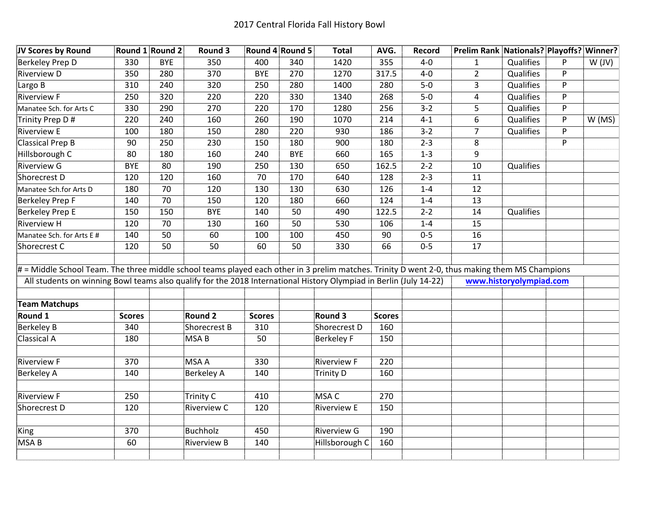| JV Scores by Round                                                                                                                             | Round 1 Round 2 |            | Round 3            |               | Round 4 Round 5 | <b>Total</b>       | AVG.          | Record  | Prelim Rank Nationals? Playoffs? Winner? |                         |   |        |
|------------------------------------------------------------------------------------------------------------------------------------------------|-----------------|------------|--------------------|---------------|-----------------|--------------------|---------------|---------|------------------------------------------|-------------------------|---|--------|
| Berkeley Prep D                                                                                                                                | 330             | <b>BYE</b> | 350                | 400           | 340             | 1420               | 355           | $4-0$   | $\mathbf{1}$                             | Qualifies               | P | W (JV) |
| <b>Riverview D</b>                                                                                                                             | 350             | 280        | 370                | <b>BYE</b>    | 270             | 1270               | 317.5         | $4-0$   | $\overline{2}$                           | Qualifies               | P |        |
| Largo B                                                                                                                                        | 310             | 240        | 320                | 250           | 280             | 1400               | 280           | $5-0$   | $\overline{3}$                           | Qualifies               | P |        |
| <b>Riverview F</b>                                                                                                                             | 250             | 320        | 220                | 220           | 330             | 1340               | 268           | $5-0$   | 4                                        | Qualifies               | P |        |
| Manatee Sch. for Arts C                                                                                                                        | 330             | 290        | 270                | 220           | 170             | 1280               | 256           | $3 - 2$ | 5                                        | Qualifies               | P |        |
| Trinity Prep D#                                                                                                                                | 220             | 240        | 160                | 260           | 190             | 1070               | 214           | $4 - 1$ | 6                                        | Qualifies               | P | W(MS)  |
| <b>Riverview E</b>                                                                                                                             | 100             | 180        | 150                | 280           | 220             | 930                | 186           | $3 - 2$ | $\overline{7}$                           | Qualifies               | P |        |
| Classical Prep B                                                                                                                               | 90              | 250        | 230                | 150           | 180             | 900                | 180           | $2 - 3$ | 8                                        |                         | P |        |
| Hillsborough C                                                                                                                                 | 80              | 180        | 160                | 240           | <b>BYE</b>      | 660                | 165           | $1 - 3$ | 9                                        |                         |   |        |
| <b>Riverview G</b>                                                                                                                             | <b>BYE</b>      | 80         | 190                | 250           | 130             | 650                | 162.5         | $2 - 2$ | 10                                       | Qualifies               |   |        |
| Shorecrest D                                                                                                                                   | 120             | 120        | 160                | 70            | 170             | 640                | 128           | $2 - 3$ | 11                                       |                         |   |        |
| Manatee Sch.for Arts D                                                                                                                         | 180             | 70         | 120                | 130           | 130             | 630                | 126           | $1 - 4$ | 12                                       |                         |   |        |
| Berkeley Prep F                                                                                                                                | 140             | 70         | 150                | 120           | 180             | 660                | 124           | $1 - 4$ | 13                                       |                         |   |        |
| <b>Berkeley Prep E</b>                                                                                                                         | 150             | 150        | <b>BYE</b>         | 140           | 50              | 490                | 122.5         | $2 - 2$ | 14                                       | Qualifies               |   |        |
| <b>Riverview H</b>                                                                                                                             | 120             | 70         | 130                | 160           | 50              | 530                | 106           | $1 - 4$ | 15                                       |                         |   |        |
| Manatee Sch. for Arts E #                                                                                                                      | 140             | 50         | 60                 | 100           | 100             | 450                | 90            | $0 - 5$ | 16                                       |                         |   |        |
| Shorecrest C                                                                                                                                   | 120             | 50         | 50                 | 60            | 50              | 330                | 66            | $0-5$   | 17                                       |                         |   |        |
| # = Middle School Team. The three middle school teams played each other in 3 prelim matches. Trinity D went 2-0, thus making them MS Champions |                 |            |                    |               |                 |                    |               |         |                                          |                         |   |        |
| All students on winning Bowl teams also qualify for the 2018 International History Olympiad in Berlin (July 14-22)                             |                 |            |                    |               |                 |                    |               |         |                                          | www.historyolympiad.com |   |        |
| <b>Team Matchups</b>                                                                                                                           |                 |            |                    |               |                 |                    |               |         |                                          |                         |   |        |
| Round 1                                                                                                                                        | <b>Scores</b>   |            | <b>Round 2</b>     | <b>Scores</b> |                 | <b>Round 3</b>     | <b>Scores</b> |         |                                          |                         |   |        |
| <b>Berkeley B</b>                                                                                                                              | 340             |            | Shorecrest B       | 310           |                 | Shorecrest D       | 160           |         |                                          |                         |   |        |
| Classical A                                                                                                                                    | 180             |            | MSA B              | 50            |                 | <b>Berkeley F</b>  | 150           |         |                                          |                         |   |        |
|                                                                                                                                                |                 |            |                    |               |                 |                    |               |         |                                          |                         |   |        |
| <b>Riverview F</b>                                                                                                                             | 370             |            | <b>MSA A</b>       | 330           |                 | <b>Riverview F</b> | 220           |         |                                          |                         |   |        |
| <b>Berkeley A</b>                                                                                                                              | 140             |            | <b>Berkeley A</b>  | 140           |                 | <b>Trinity D</b>   | 160           |         |                                          |                         |   |        |
|                                                                                                                                                |                 |            |                    |               |                 |                    |               |         |                                          |                         |   |        |
| <b>Riverview F</b>                                                                                                                             | 250             |            | Trinity C          | 410           |                 | MSA C              | 270           |         |                                          |                         |   |        |
| Shorecrest D                                                                                                                                   | 120             |            | <b>Riverview C</b> | 120           |                 | <b>Riverview E</b> | 150           |         |                                          |                         |   |        |
| King                                                                                                                                           | 370             |            | <b>Buchholz</b>    | 450           |                 | <b>Riverview G</b> | 190           |         |                                          |                         |   |        |
| MSA <sub>B</sub>                                                                                                                               | 60              |            | <b>Riverview B</b> | 140           |                 | Hillsborough C     | 160           |         |                                          |                         |   |        |
|                                                                                                                                                |                 |            |                    |               |                 |                    |               |         |                                          |                         |   |        |
|                                                                                                                                                |                 |            |                    |               |                 |                    |               |         |                                          |                         |   |        |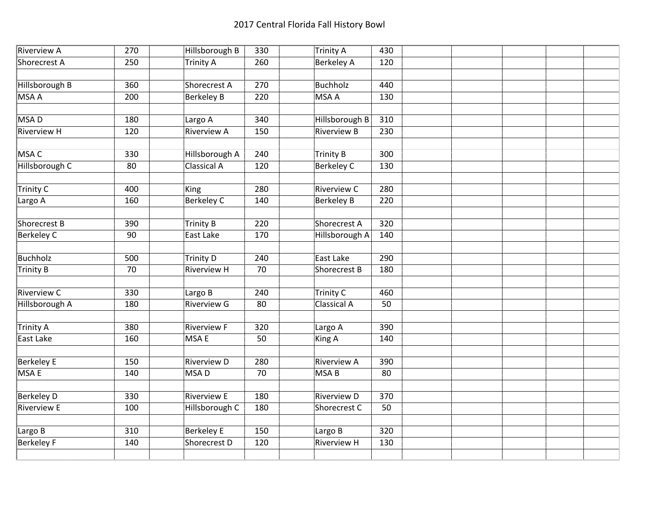| Riverview A        | 270 | Hillsborough B     | 330 | <b>Trinity A</b>    | 430 |  |  |
|--------------------|-----|--------------------|-----|---------------------|-----|--|--|
| Shorecrest A       | 250 | Trinity A          | 260 | <b>Berkeley A</b>   | 120 |  |  |
|                    |     |                    |     |                     |     |  |  |
| Hillsborough B     | 360 | Shorecrest A       | 270 | <b>Buchholz</b>     | 440 |  |  |
| MSA A              | 200 | <b>Berkeley B</b>  | 220 | <b>MSA A</b>        | 130 |  |  |
|                    |     |                    |     |                     |     |  |  |
| MSA D              | 180 | Largo A            | 340 | Hillsborough B      | 310 |  |  |
| <b>Riverview H</b> | 120 | <b>Riverview A</b> | 150 | <b>Riverview B</b>  | 230 |  |  |
|                    |     |                    |     |                     |     |  |  |
| MSA C              | 330 | Hillsborough A     | 240 | <b>Trinity B</b>    | 300 |  |  |
| Hillsborough C     | 80  | <b>Classical A</b> | 120 | <b>Berkeley C</b>   | 130 |  |  |
|                    |     |                    |     |                     |     |  |  |
| Trinity C          | 400 | King               | 280 | <b>Riverview C</b>  | 280 |  |  |
| Largo A            | 160 | <b>Berkeley C</b>  | 140 | <b>Berkeley B</b>   | 220 |  |  |
|                    |     |                    |     |                     |     |  |  |
| Shorecrest B       | 390 | <b>Trinity B</b>   | 220 | <b>Shorecrest A</b> | 320 |  |  |
| Berkeley C         | 90  | East Lake          | 170 | Hillsborough A      | 140 |  |  |
|                    |     |                    |     |                     |     |  |  |
| Buchholz           | 500 | Trinity D          | 240 | <b>East Lake</b>    | 290 |  |  |
| Trinity B          | 70  | <b>Riverview H</b> | 70  | Shorecrest B        | 180 |  |  |
|                    |     |                    |     |                     |     |  |  |
| <b>Riverview C</b> | 330 | Largo B            | 240 | <b>Trinity C</b>    | 460 |  |  |
| Hillsborough A     | 180 | <b>Riverview G</b> | 80  | <b>Classical A</b>  | 50  |  |  |
|                    |     |                    |     |                     |     |  |  |
| Trinity A          | 380 | <b>Riverview F</b> | 320 | Largo A             | 390 |  |  |
| East Lake          | 160 | <b>MSAE</b>        | 50  | King A              | 140 |  |  |
|                    |     |                    |     |                     |     |  |  |
| Berkeley E         | 150 | <b>Riverview D</b> | 280 | <b>Riverview A</b>  | 390 |  |  |
| <b>MSAE</b>        | 140 | MSA <sub>D</sub>   | 70  | MSA <sub>B</sub>    | 80  |  |  |
|                    |     |                    |     |                     |     |  |  |
| <b>Berkeley D</b>  | 330 | <b>Riverview E</b> | 180 | <b>Riverview D</b>  | 370 |  |  |
| <b>Riverview E</b> | 100 | Hillsborough C     | 180 | Shorecrest C        | 50  |  |  |
|                    |     |                    |     |                     |     |  |  |
| Largo B            | 310 | <b>Berkeley E</b>  | 150 | Largo B             | 320 |  |  |
| Berkeley F         | 140 | Shorecrest D       | 120 | <b>Riverview H</b>  | 130 |  |  |
|                    |     |                    |     |                     |     |  |  |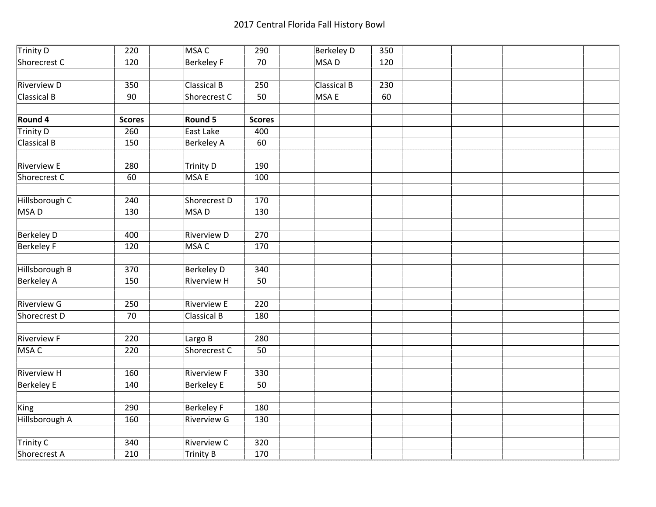| Trinity D          | 220           | <b>MSAC</b>        | 290           | <b>Berkeley D</b>  | 350 |  |  |  |
|--------------------|---------------|--------------------|---------------|--------------------|-----|--|--|--|
| Shorecrest C       | 120           | <b>Berkeley F</b>  | 70            | <b>MSAD</b>        | 120 |  |  |  |
|                    |               |                    |               |                    |     |  |  |  |
| <b>Riverview D</b> | 350           | <b>Classical B</b> | 250           | <b>Classical B</b> | 230 |  |  |  |
| <b>Classical B</b> | 90            | Shorecrest C       | 50            | <b>MSAE</b>        | 60  |  |  |  |
|                    |               |                    |               |                    |     |  |  |  |
| Round 4            | <b>Scores</b> | Round 5            | <b>Scores</b> |                    |     |  |  |  |
| Trinity D          | 260           | East Lake          | 400           |                    |     |  |  |  |
| Classical B        | 150           | <b>Berkeley A</b>  | 60            |                    |     |  |  |  |
|                    |               |                    |               |                    |     |  |  |  |
| <b>Riverview E</b> | 280           | <b>Trinity D</b>   | 190           |                    |     |  |  |  |
| Shorecrest C       | 60            | <b>MSAE</b>        | 100           |                    |     |  |  |  |
|                    |               |                    |               |                    |     |  |  |  |
| Hillsborough C     | 240           | Shorecrest D       | 170           |                    |     |  |  |  |
| MSA D              | 130           | MSA <sub>D</sub>   | 130           |                    |     |  |  |  |
|                    |               |                    |               |                    |     |  |  |  |
| <b>Berkeley D</b>  | 400           | <b>Riverview D</b> | 270           |                    |     |  |  |  |
| <b>Berkeley F</b>  | 120           | MSA C              | 170           |                    |     |  |  |  |
|                    |               |                    |               |                    |     |  |  |  |
| Hillsborough B     | 370           | <b>Berkeley D</b>  | 340           |                    |     |  |  |  |
| Berkeley A         | 150           | <b>Riverview H</b> | 50            |                    |     |  |  |  |
|                    |               |                    |               |                    |     |  |  |  |
| Riverview G        | 250           | <b>Riverview E</b> | 220           |                    |     |  |  |  |
| Shorecrest D       | 70            | <b>Classical B</b> | 180           |                    |     |  |  |  |
|                    |               |                    |               |                    |     |  |  |  |
| <b>Riverview F</b> | 220           | Largo B            | 280           |                    |     |  |  |  |
| MSA C              | 220           | Shorecrest C       | 50            |                    |     |  |  |  |
|                    |               |                    |               |                    |     |  |  |  |
| <b>Riverview H</b> | 160           | <b>Riverview F</b> | 330           |                    |     |  |  |  |
| <b>Berkeley E</b>  | 140           | <b>Berkeley E</b>  | 50            |                    |     |  |  |  |
|                    |               |                    |               |                    |     |  |  |  |
| King               | 290           | <b>Berkeley F</b>  | 180           |                    |     |  |  |  |
| Hillsborough A     | 160           | <b>Riverview G</b> | 130           |                    |     |  |  |  |
|                    |               |                    |               |                    |     |  |  |  |
| <b>Trinity C</b>   | 340           | <b>Riverview C</b> | 320           |                    |     |  |  |  |
| Shorecrest A       | 210           | Trinity B          | 170           |                    |     |  |  |  |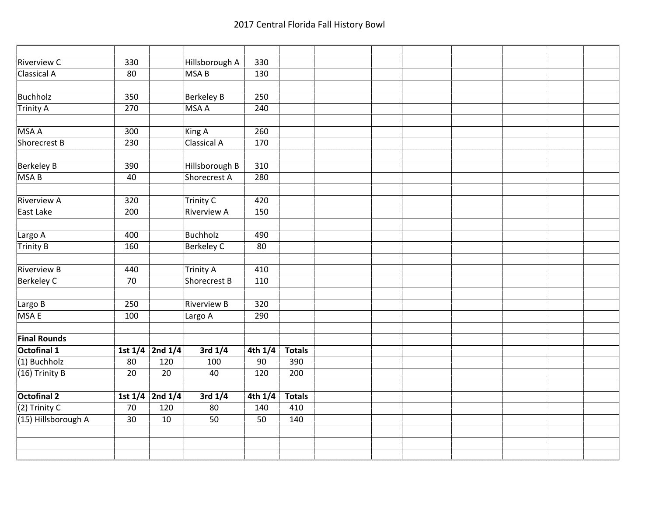| <b>Riverview C</b>  | 330             |                     | Hillsborough A     | 330             |               |  |  |  |  |
|---------------------|-----------------|---------------------|--------------------|-----------------|---------------|--|--|--|--|
| <b>Classical A</b>  | 80              |                     | <b>MSAB</b>        | 130             |               |  |  |  |  |
|                     |                 |                     |                    |                 |               |  |  |  |  |
| Buchholz            | 350             |                     | <b>Berkeley B</b>  | 250             |               |  |  |  |  |
| Trinity A           | 270             |                     | <b>MSA A</b>       | 240             |               |  |  |  |  |
|                     |                 |                     |                    |                 |               |  |  |  |  |
| MSA A               | 300             |                     | <b>King A</b>      | 260             |               |  |  |  |  |
| Shorecrest B        | 230             |                     | <b>Classical A</b> | 170             |               |  |  |  |  |
|                     |                 |                     |                    |                 |               |  |  |  |  |
| <b>Berkeley B</b>   | 390             |                     | Hillsborough B     | 310             |               |  |  |  |  |
| MSA B               | 40              |                     | Shorecrest A       | 280             |               |  |  |  |  |
|                     |                 |                     |                    |                 |               |  |  |  |  |
| Riverview A         | 320             |                     | <b>Trinity C</b>   | 420             |               |  |  |  |  |
| East Lake           | 200             |                     | <b>Riverview A</b> | 150             |               |  |  |  |  |
|                     |                 |                     |                    |                 |               |  |  |  |  |
| Largo A             | 400             |                     | Buchholz           | 490             |               |  |  |  |  |
| Trinity B           | 160             |                     | <b>Berkeley C</b>  | 80              |               |  |  |  |  |
|                     |                 |                     |                    |                 |               |  |  |  |  |
| <b>Riverview B</b>  | 440             |                     | <b>Trinity A</b>   | 410             |               |  |  |  |  |
| <b>Berkeley C</b>   | 70              |                     | Shorecrest B       | 110             |               |  |  |  |  |
|                     |                 |                     |                    |                 |               |  |  |  |  |
| Largo B             | 250             |                     | <b>Riverview B</b> | 320             |               |  |  |  |  |
| MSA E               | 100             |                     | Largo A            | 290             |               |  |  |  |  |
|                     |                 |                     |                    |                 |               |  |  |  |  |
| <b>Final Rounds</b> |                 |                     |                    |                 |               |  |  |  |  |
| Octofinal 1         |                 | 1st $1/4$ 2nd $1/4$ | $3rd$ $1/4$        | $4th$ $1/4$     | <b>Totals</b> |  |  |  |  |
| $(1)$ Buchholz      | $\overline{80}$ | 120                 | 100                | $\overline{90}$ | 390           |  |  |  |  |
| $(16)$ Trinity B    | $\overline{20}$ | $\overline{20}$     | 40                 | 120             | 200           |  |  |  |  |
|                     |                 |                     |                    |                 |               |  |  |  |  |
| <b>Octofinal 2</b>  |                 | 1st $1/4$ 2nd $1/4$ | $3rd$ $1/4$        | $4th$ $1/4$     | <b>Totals</b> |  |  |  |  |
| $(2)$ Trinity C     | 70              | 120                 | 80                 | 140             | 410           |  |  |  |  |
| (15) Hillsborough A | 30              | 10                  | 50                 | 50              | 140           |  |  |  |  |
|                     |                 |                     |                    |                 |               |  |  |  |  |
|                     |                 |                     |                    |                 |               |  |  |  |  |
|                     |                 |                     |                    |                 |               |  |  |  |  |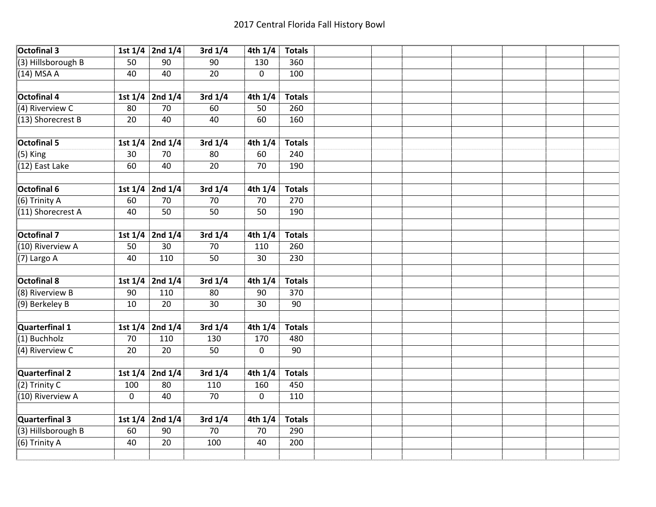| <b>Octofinal 3</b>   |             | 1st $1/4$ 2nd $1/4$ | 3rd $1/4$   | 4th $1/4$   | <b>Totals</b> |  |  |  |  |
|----------------------|-------------|---------------------|-------------|-------------|---------------|--|--|--|--|
| (3) Hillsborough B   | 50          | 90                  | 90          | 130         | 360           |  |  |  |  |
| $(14)$ MSA A         | 40          | 40                  | 20          | 0           | 100           |  |  |  |  |
|                      |             |                     |             |             |               |  |  |  |  |
| <b>Octofinal 4</b>   |             | 1st $1/4$ 2nd $1/4$ | 3rd $1/4$   | 4th $1/4$   | <b>Totals</b> |  |  |  |  |
| (4) Riverview C      | 80          | 70                  | 60          | 50          | 260           |  |  |  |  |
| (13) Shorecrest B    | 20          | 40                  | 40          | 60          | 160           |  |  |  |  |
|                      |             |                     |             |             |               |  |  |  |  |
| Octofinal 5          | 1st $1/4$   | 2nd $1/4$           | 3rd $1/4$   | 4th $1/4$   | <b>Totals</b> |  |  |  |  |
| $(5)$ King           | 30          | 70                  | 80          | 60          | 240           |  |  |  |  |
| (12) East Lake       | 60          | 40                  | 20          | 70          | 190           |  |  |  |  |
|                      |             |                     |             |             |               |  |  |  |  |
| Octofinal 6          |             | 1st $1/4$ 2nd $1/4$ | 3rd $1/4$   | 4th $1/4$   | <b>Totals</b> |  |  |  |  |
| (6) Trinity A        | 60          | 70                  | 70          | 70          | 270           |  |  |  |  |
| (11) Shorecrest A    | 40          | 50                  | 50          | 50          | 190           |  |  |  |  |
|                      |             |                     |             |             |               |  |  |  |  |
| <b>Octofinal 7</b>   |             | 1st $1/4$ 2nd $1/4$ | $3rd$ $1/4$ | 4th $1/4$   | <b>Totals</b> |  |  |  |  |
| (10) Riverview A     | 50          | 30                  | 70          | 110         | 260           |  |  |  |  |
| (7) Largo A          | 40          | 110                 | 50          | 30          | 230           |  |  |  |  |
|                      |             |                     |             |             |               |  |  |  |  |
| <b>Octofinal 8</b>   |             | 1st $1/4$ 2nd $1/4$ | 3rd $1/4$   | 4th $1/4$   | <b>Totals</b> |  |  |  |  |
| (8) Riverview B      | 90          | 110                 | 80          | 90          | 370           |  |  |  |  |
| (9) Berkeley B       | 10          | 20                  | 30          | 30          | 90            |  |  |  |  |
|                      |             |                     |             |             |               |  |  |  |  |
| Quarterfinal 1       |             | 1st $1/4$ 2nd $1/4$ | 3rd $1/4$   | 4th $1/4$   | <b>Totals</b> |  |  |  |  |
| $(1)$ Buchholz       | 70          | 110                 | 130         | 170         | 480           |  |  |  |  |
| (4) Riverview C      | 20          | 20                  | 50          | $\mathbf 0$ | 90            |  |  |  |  |
|                      |             |                     |             |             |               |  |  |  |  |
| Quarterfinal 2       | 1st $1/4$   | 2nd 1/4             | 3rd $1/4$   | 4th $1/4$   | <b>Totals</b> |  |  |  |  |
| $(2)$ Trinity C      | 100         | 80                  | 110         | 160         | 450           |  |  |  |  |
| (10) Riverview A     | $\mathbf 0$ | 40                  | 70          | $\mathbf 0$ | 110           |  |  |  |  |
|                      |             |                     |             |             |               |  |  |  |  |
| Quarterfinal 3       |             | 1st $1/4$ 2nd $1/4$ | 3rd $1/4$   | 4th $1/4$   | <b>Totals</b> |  |  |  |  |
| $(3)$ Hillsborough B | 60          | 90                  | 70          | 70          | 290           |  |  |  |  |
| (6) Trinity A        | 40          | 20                  | 100         | 40          | 200           |  |  |  |  |
|                      |             |                     |             |             |               |  |  |  |  |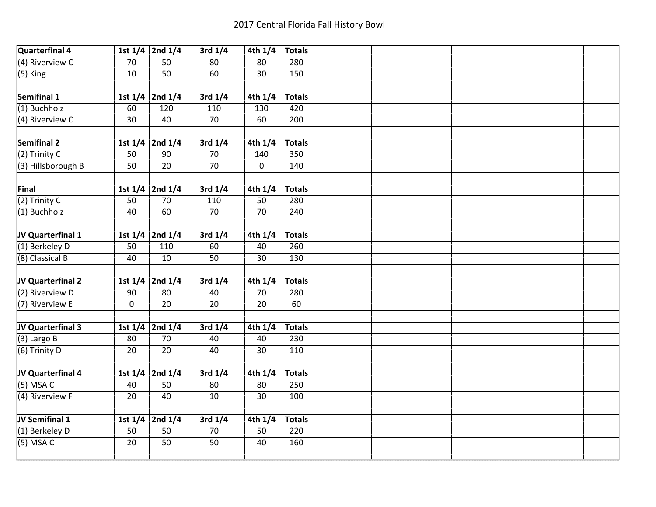| Quarterfinal 4     |             | 1st $1/4$ 2nd $1/4$ | 3rd $1/4$   | 4th $1/4$ | <b>Totals</b> |  |  |  |  |
|--------------------|-------------|---------------------|-------------|-----------|---------------|--|--|--|--|
| $(4)$ Riverview C  | 70          | 50                  | 80          | 80        | 280           |  |  |  |  |
| $(5)$ King         | 10          | 50                  | 60          | 30        | 150           |  |  |  |  |
|                    |             |                     |             |           |               |  |  |  |  |
| Semifinal 1        |             | 1st $1/4$ 2nd $1/4$ | 3rd $1/4$   | 4th $1/4$ | <b>Totals</b> |  |  |  |  |
| $(1)$ Buchholz     | 60          | 120                 | 110         | 130       | 420           |  |  |  |  |
| $(4)$ Riverview C  | 30          | 40                  | 70          | 60        | 200           |  |  |  |  |
|                    |             |                     |             |           |               |  |  |  |  |
| <b>Semifinal 2</b> | 1st $1/4$   | 2nd 1/4             | 3rd $1/4$   | 4th $1/4$ | <b>Totals</b> |  |  |  |  |
| $(2)$ Trinity C    | 50          | 90                  | 70          | 140       | 350           |  |  |  |  |
| (3) Hillsborough B | 50          | 20                  | 70          | $\pmb{0}$ | 140           |  |  |  |  |
|                    |             |                     |             |           |               |  |  |  |  |
| Final              |             | 1st $1/4$ 2nd $1/4$ | 3rd $1/4$   | 4th $1/4$ | <b>Totals</b> |  |  |  |  |
| $(2)$ Trinity C    | 50          | 70                  | 110         | 50        | 280           |  |  |  |  |
| (1) Buchholz       | 40          | 60                  | 70          | 70        | 240           |  |  |  |  |
|                    |             |                     |             |           |               |  |  |  |  |
| JV Quarterfinal 1  | 1st $1/4$   | 2nd 1/4             | $3rd$ $1/4$ | 4th $1/4$ | <b>Totals</b> |  |  |  |  |
| (1) Berkeley D     | 50          | 110                 | 60          | 40        | 260           |  |  |  |  |
| (8) Classical B    | 40          | 10                  | 50          | 30        | 130           |  |  |  |  |
|                    |             |                     |             |           |               |  |  |  |  |
| JV Quarterfinal 2  |             | 1st $1/4$ 2nd $1/4$ | 3rd $1/4$   | 4th $1/4$ | <b>Totals</b> |  |  |  |  |
| (2) Riverview D    | 90          | 80                  | 40          | 70        | 280           |  |  |  |  |
| (7) Riverview E    | $\mathbf 0$ | 20                  | 20          | 20        | 60            |  |  |  |  |
|                    |             |                     |             |           |               |  |  |  |  |
| JV Quarterfinal 3  |             | 1st $1/4$ 2nd $1/4$ | 3rd $1/4$   | 4th $1/4$ | <b>Totals</b> |  |  |  |  |
| $(3)$ Largo B      | 80          | 70                  | 40          | 40        | 230           |  |  |  |  |
| (6) Trinity D      | 20          | 20                  | 40          | 30        | 110           |  |  |  |  |
|                    |             |                     |             |           |               |  |  |  |  |
| JV Quarterfinal 4  |             | 1st $1/4$ 2nd $1/4$ | 3rd $1/4$   | 4th $1/4$ | <b>Totals</b> |  |  |  |  |
| $(5)$ MSA C        | 40          | 50                  | 80          | 80        | 250           |  |  |  |  |
| (4) Riverview F    | 20          | 40                  | 10          | 30        | 100           |  |  |  |  |
|                    |             |                     |             |           |               |  |  |  |  |
| JV Semifinal 1     |             | 1st $1/4$ 2nd $1/4$ | 3rd $1/4$   | 4th $1/4$ | <b>Totals</b> |  |  |  |  |
| $(1)$ Berkeley D   | 50          | 50                  | 70          | 50        | 220           |  |  |  |  |
| $(5)$ MSA C        | 20          | 50                  | 50          | 40        | 160           |  |  |  |  |
|                    |             |                     |             |           |               |  |  |  |  |